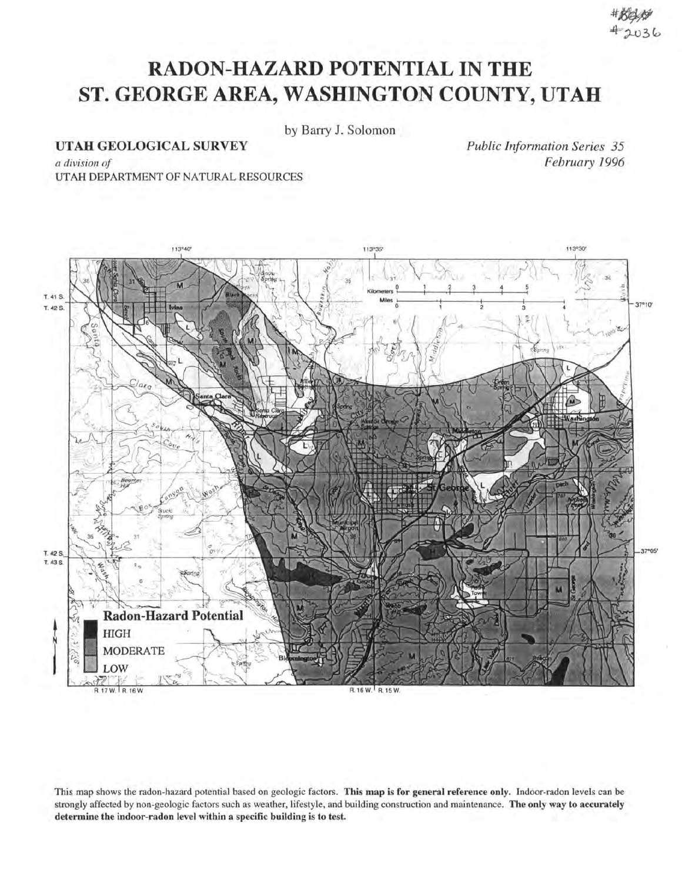## **RADON-HAZARD POTENTIAL IN THE ST. GEORGE AREA, WASHINGTON COUNTY, UTAH**

by Barry J. Solomon

UTAH GEOLOGICAL SURVEY

*Public Information Series 35 February 1996* 

*a division of*  UTAH DEPARTMENT OF NATURAL RESOURCES



This map shows the radon-hazard potential based on geologic factors. This map is for general reference only. Indoor-radon levels can be strongly affected by non-geologic factors such as weather, lifestyle, and building construction and maintenance. The only way to accurately determine the indoor-radon level within a specific building is to test.